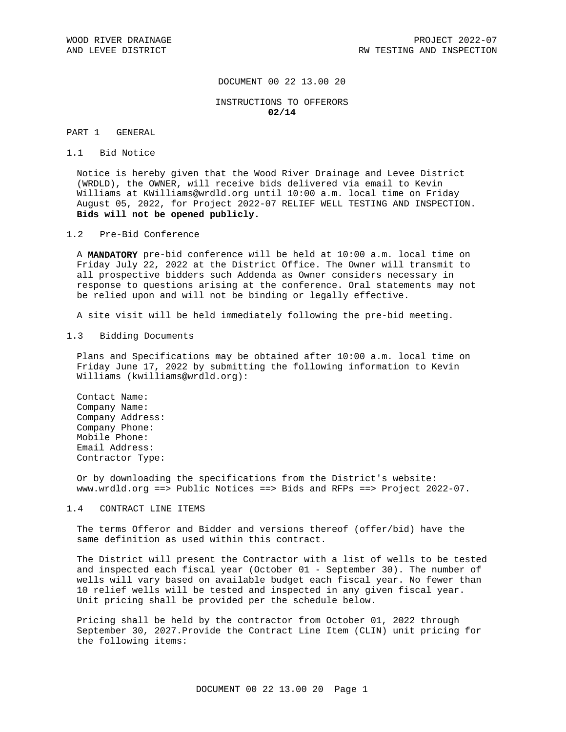# DOCUMENT 00 22 13.00 20

## INSTRUCTIONS TO OFFERORS **02/14**

# PART 1 GENERAL

#### 1.1 Bid Notice

Notice is hereby given that the Wood River Drainage and Levee District (WRDLD), the OWNER, will receive bids delivered via email to Kevin Williams at KWilliams@wrdld.org until 10:00 a.m. local time on Friday August 05, 2022, for Project 2022-07 RELIEF WELL TESTING AND INSPECTION. **Bids will not be opened publicly.**

## 1.2 Pre-Bid Conference

A **MANDATORY** pre-bid conference will be held at 10:00 a.m. local time on Friday July 22, 2022 at the District Office. The Owner will transmit to all prospective bidders such Addenda as Owner considers necessary in response to questions arising at the conference. Oral statements may not be relied upon and will not be binding or legally effective.

A site visit will be held immediately following the pre-bid meeting.

#### 1.3 Bidding Documents

Plans and Specifications may be obtained after 10:00 a.m. local time on Friday June 17, 2022 by submitting the following information to Kevin Williams (kwilliams@wrdld.org):

Contact Name: Company Name: Company Address: Company Phone: Mobile Phone: Email Address: Contractor Type:

Or by downloading the specifications from the District's website: www.wrdld.org ==> Public Notices ==> Bids and RFPs ==> Project 2022-07.

# 1.4 CONTRACT LINE ITEMS

The terms Offeror and Bidder and versions thereof (offer/bid) have the same definition as used within this contract.

The District will present the Contractor with a list of wells to be tested and inspected each fiscal year (October 01 - September 30). The number of wells will vary based on available budget each fiscal year. No fewer than 10 relief wells will be tested and inspected in any given fiscal year. Unit pricing shall be provided per the schedule below.

Pricing shall be held by the contractor from October 01, 2022 through September 30, 2027.Provide the Contract Line Item (CLIN) unit pricing for the following items: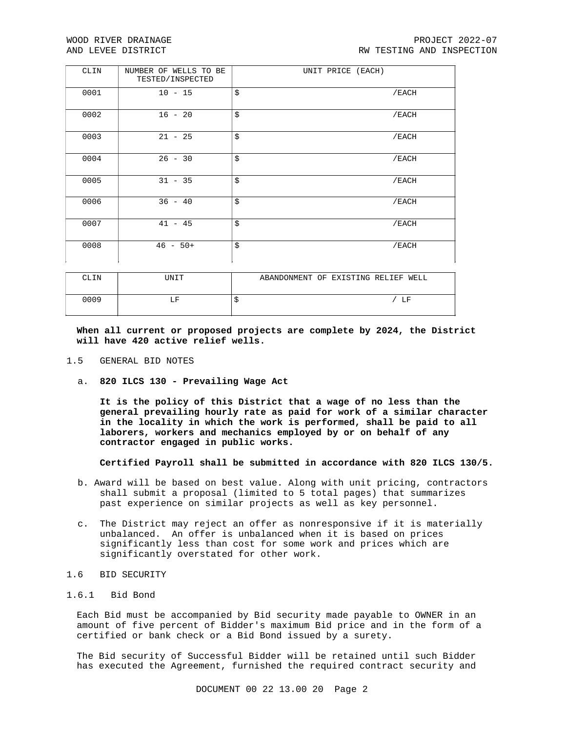| CLIN | NUMBER OF WELLS TO BE<br>TESTED/INSPECTED | UNIT PRICE (EACH) |       |
|------|-------------------------------------------|-------------------|-------|
| 0001 | $10 - 15$                                 | \$                | /EACH |
| 0002 | $16 - 20$                                 | \$                | /EACH |
| 0003 | $21 - 25$                                 | \$                | /EACH |
| 0004 | $26 - 30$                                 | \$                | /EACH |
| 0005 | $31 - 35$                                 | \$                | /EACH |
| 0006 | $36 - 40$                                 | \$                | /EACH |
| 0007 | $41 - 45$                                 | \$                | /EACH |
| 0008 | $46 - 50+$                                | \$                | /EACH |

| CLIN | UNIT | ABANDONMENT OF EXISTING RELIEF WELL |  |
|------|------|-------------------------------------|--|
| 0009 | LF   | LF                                  |  |

**When all current or proposed projects are complete by 2024, the District will have 420 active relief wells.**

- 1.5 GENERAL BID NOTES
	- a. **820 ILCS 130 - Prevailing Wage Act**

**It is the policy of this District that a wage of no less than the general prevailing hourly rate as paid for work of a similar character in the locality in which the work is performed, shall be paid to all laborers, workers and mechanics employed by or on behalf of any contractor engaged in public works.**

**Certified Payroll shall be submitted in accordance with 820 ILCS 130/5.**

- b. Award will be based on best value. Along with unit pricing, contractors shall submit a proposal (limited to 5 total pages) that summarizes past experience on similar projects as well as key personnel.
- c. The District may reject an offer as nonresponsive if it is materially unbalanced. An offer is unbalanced when it is based on prices significantly less than cost for some work and prices which are significantly overstated for other work.
- 1.6 BID SECURITY
- 1.6.1 Bid Bond

Each Bid must be accompanied by Bid security made payable to OWNER in an amount of five percent of Bidder's maximum Bid price and in the form of a certified or bank check or a Bid Bond issued by a surety.

The Bid security of Successful Bidder will be retained until such Bidder has executed the Agreement, furnished the required contract security and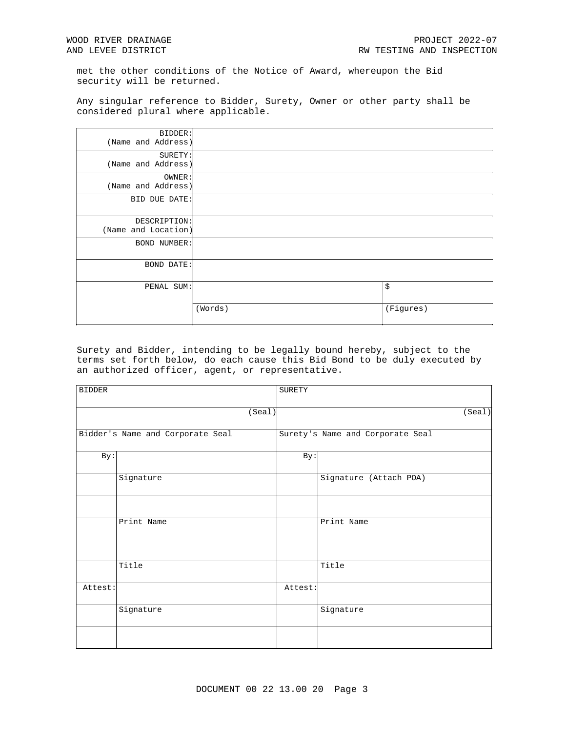met the other conditions of the Notice of Award, whereupon the Bid security will be returned.

Any singular reference to Bidder, Surety, Owner or other party shall be considered plural where applicable.

| BIDDER:             |         |           |
|---------------------|---------|-----------|
| (Name and Address)  |         |           |
| SURETY:             |         |           |
| (Name and Address)  |         |           |
| OWNER:              |         |           |
| (Name and Address)  |         |           |
| BID DUE DATE:       |         |           |
|                     |         |           |
| DESCRIPTION:        |         |           |
| (Name and Location) |         |           |
| <b>BOND NUMBER:</b> |         |           |
|                     |         |           |
| BOND DATE:          |         |           |
|                     |         |           |
| PENAL SUM:          |         | \$        |
|                     |         |           |
|                     | (Words) | (Figures) |
|                     |         |           |

Surety and Bidder, intending to be legally bound hereby, subject to the terms set forth below, do each cause this Bid Bond to be duly executed by an authorized officer, agent, or representative.

| <b>BIDDER</b> |                                  | <b>SURETY</b> |                                  |        |
|---------------|----------------------------------|---------------|----------------------------------|--------|
|               | (Seal)                           |               |                                  | (Seal) |
|               | Bidder's Name and Corporate Seal |               | Surety's Name and Corporate Seal |        |
| By:           |                                  | By:           |                                  |        |
|               | Signature                        |               | Signature (Attach POA)           |        |
|               |                                  |               |                                  |        |
|               | Print Name                       |               | Print Name                       |        |
|               |                                  |               |                                  |        |
|               | Title                            |               | Title                            |        |
| Attest:       |                                  | Attest:       |                                  |        |
|               | Signature                        |               | Signature                        |        |
|               |                                  |               |                                  |        |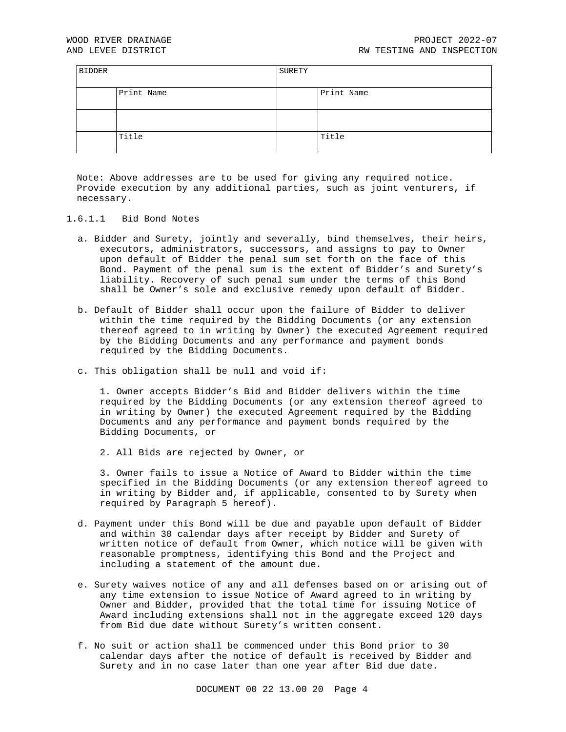| <b>BIDDER</b> |            | SURETY |            |
|---------------|------------|--------|------------|
|               | Print Name |        | Print Name |
|               |            |        |            |
|               | Title      |        | Title      |

Note: Above addresses are to be used for giving any required notice. Provide execution by any additional parties, such as joint venturers, if necessary.

- 1.6.1.1 Bid Bond Notes
	- a. Bidder and Surety, jointly and severally, bind themselves, their heirs, executors, administrators, successors, and assigns to pay to Owner upon default of Bidder the penal sum set forth on the face of this Bond. Payment of the penal sum is the extent of Bidder's and Surety's liability. Recovery of such penal sum under the terms of this Bond shall be Owner's sole and exclusive remedy upon default of Bidder.
	- b. Default of Bidder shall occur upon the failure of Bidder to deliver within the time required by the Bidding Documents (or any extension thereof agreed to in writing by Owner) the executed Agreement required by the Bidding Documents and any performance and payment bonds required by the Bidding Documents.
	- c. This obligation shall be null and void if:

1. Owner accepts Bidder's Bid and Bidder delivers within the time required by the Bidding Documents (or any extension thereof agreed to in writing by Owner) the executed Agreement required by the Bidding Documents and any performance and payment bonds required by the Bidding Documents, or

2. All Bids are rejected by Owner, or

3. Owner fails to issue a Notice of Award to Bidder within the time specified in the Bidding Documents (or any extension thereof agreed to in writing by Bidder and, if applicable, consented to by Surety when required by Paragraph 5 hereof).

- d. Payment under this Bond will be due and payable upon default of Bidder and within 30 calendar days after receipt by Bidder and Surety of written notice of default from Owner, which notice will be given with reasonable promptness, identifying this Bond and the Project and including a statement of the amount due.
- e. Surety waives notice of any and all defenses based on or arising out of any time extension to issue Notice of Award agreed to in writing by Owner and Bidder, provided that the total time for issuing Notice of Award including extensions shall not in the aggregate exceed 120 days from Bid due date without Surety's written consent.
- f. No suit or action shall be commenced under this Bond prior to 30 calendar days after the notice of default is received by Bidder and Surety and in no case later than one year after Bid due date.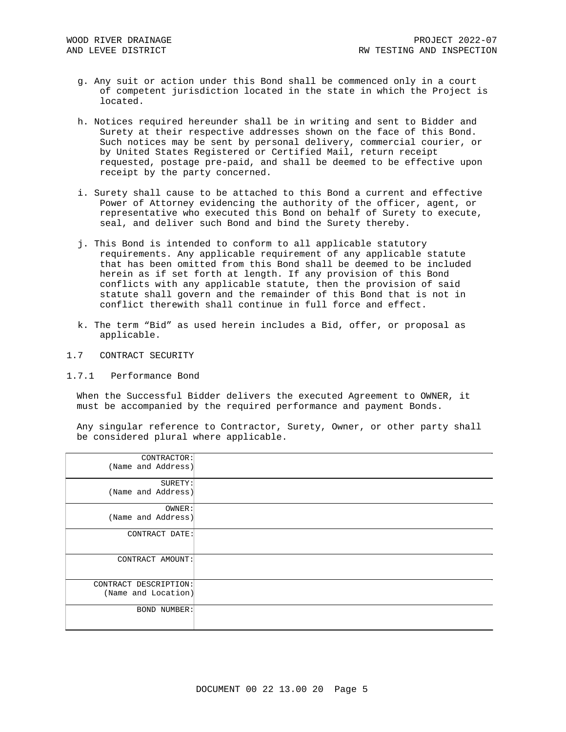- g. Any suit or action under this Bond shall be commenced only in a court of competent jurisdiction located in the state in which the Project is located.
- h. Notices required hereunder shall be in writing and sent to Bidder and Surety at their respective addresses shown on the face of this Bond. Such notices may be sent by personal delivery, commercial courier, or by United States Registered or Certified Mail, return receipt requested, postage pre-paid, and shall be deemed to be effective upon receipt by the party concerned.
- i. Surety shall cause to be attached to this Bond a current and effective Power of Attorney evidencing the authority of the officer, agent, or representative who executed this Bond on behalf of Surety to execute, seal, and deliver such Bond and bind the Surety thereby.
- j. This Bond is intended to conform to all applicable statutory requirements. Any applicable requirement of any applicable statute that has been omitted from this Bond shall be deemed to be included herein as if set forth at length. If any provision of this Bond conflicts with any applicable statute, then the provision of said statute shall govern and the remainder of this Bond that is not in conflict therewith shall continue in full force and effect.
- k. The term "Bid" as used herein includes a Bid, offer, or proposal as applicable.
- 1.7 CONTRACT SECURITY
- 1.7.1 Performance Bond

When the Successful Bidder delivers the executed Agreement to OWNER, it must be accompanied by the required performance and payment Bonds.

Any singular reference to Contractor, Surety, Owner, or other party shall be considered plural where applicable.

| CONTRACTOR:<br>(Name and Address)            |  |
|----------------------------------------------|--|
| SURETY:<br>(Name and Address)                |  |
| OWNER:<br>(Name and Address)                 |  |
| CONTRACT DATE:                               |  |
| CONTRACT AMOUNT:                             |  |
| CONTRACT DESCRIPTION:<br>(Name and Location) |  |
| BOND NUMBER:                                 |  |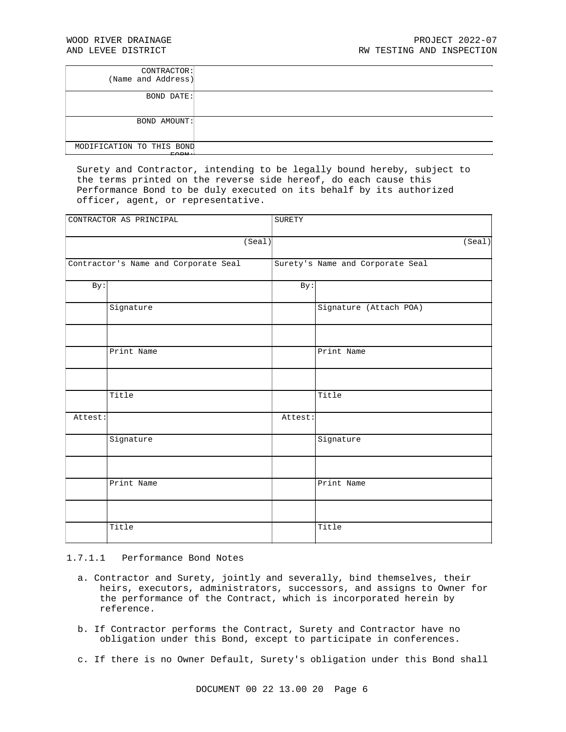| CONTRACTOR:<br>(Name and Address)  |  |
|------------------------------------|--|
| <b>BOND DATE:</b>                  |  |
| BOND AMOUNT:                       |  |
| MODIFICATION TO THIS BOND<br>PQQQR |  |

Surety and Contractor, intending to be legally bound hereby, subject to the terms printed on the reverse side hereof, do each cause this Performance Bond to be duly executed on its behalf by its authorized officer, agent, or representative.

| CONTRACTOR AS PRINCIPAL |                                      | SURETY  |                                  |
|-------------------------|--------------------------------------|---------|----------------------------------|
|                         | (Seal)                               |         | (Seal)                           |
|                         | Contractor's Name and Corporate Seal |         | Surety's Name and Corporate Seal |
| By:                     |                                      | By:     |                                  |
|                         | Signature                            |         | Signature (Attach POA)           |
|                         |                                      |         |                                  |
|                         | Print Name                           |         | Print Name                       |
|                         |                                      |         |                                  |
|                         | Title                                |         | Title                            |
| Attest:                 |                                      | Attest: |                                  |
|                         | Signature                            |         | Signature                        |
|                         |                                      |         |                                  |
|                         | Print Name                           |         | Print Name                       |
|                         |                                      |         |                                  |
|                         | Title                                |         | Title                            |

### 1.7.1.1 Performance Bond Notes

- a. Contractor and Surety, jointly and severally, bind themselves, their heirs, executors, administrators, successors, and assigns to Owner for the performance of the Contract, which is incorporated herein by reference.
- b. If Contractor performs the Contract, Surety and Contractor have no obligation under this Bond, except to participate in conferences.
- c. If there is no Owner Default, Surety's obligation under this Bond shall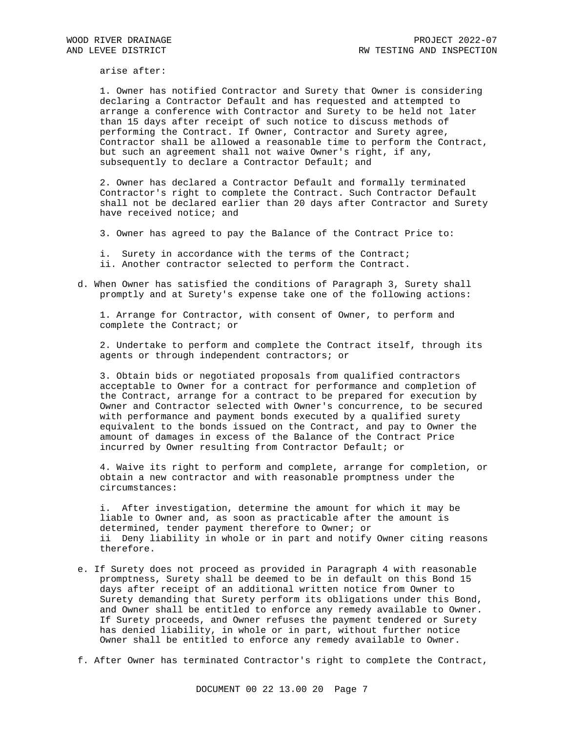arise after:

1. Owner has notified Contractor and Surety that Owner is considering declaring a Contractor Default and has requested and attempted to arrange a conference with Contractor and Surety to be held not later than 15 days after receipt of such notice to discuss methods of performing the Contract. If Owner, Contractor and Surety agree, Contractor shall be allowed a reasonable time to perform the Contract, but such an agreement shall not waive Owner's right, if any, subsequently to declare a Contractor Default; and

2. Owner has declared a Contractor Default and formally terminated Contractor's right to complete the Contract. Such Contractor Default shall not be declared earlier than 20 days after Contractor and Surety have received notice; and

3. Owner has agreed to pay the Balance of the Contract Price to:

- i. Surety in accordance with the terms of the Contract;
- ii. Another contractor selected to perform the Contract.
- d. When Owner has satisfied the conditions of Paragraph 3, Surety shall promptly and at Surety's expense take one of the following actions:

1. Arrange for Contractor, with consent of Owner, to perform and complete the Contract; or

2. Undertake to perform and complete the Contract itself, through its agents or through independent contractors; or

3. Obtain bids or negotiated proposals from qualified contractors acceptable to Owner for a contract for performance and completion of the Contract, arrange for a contract to be prepared for execution by Owner and Contractor selected with Owner's concurrence, to be secured with performance and payment bonds executed by a qualified surety equivalent to the bonds issued on the Contract, and pay to Owner the amount of damages in excess of the Balance of the Contract Price incurred by Owner resulting from Contractor Default; or

4. Waive its right to perform and complete, arrange for completion, or obtain a new contractor and with reasonable promptness under the circumstances:

i. After investigation, determine the amount for which it may be liable to Owner and, as soon as practicable after the amount is determined, tender payment therefore to Owner; or ii Deny liability in whole or in part and notify Owner citing reasons therefore.

- e. If Surety does not proceed as provided in Paragraph 4 with reasonable promptness, Surety shall be deemed to be in default on this Bond 15 days after receipt of an additional written notice from Owner to Surety demanding that Surety perform its obligations under this Bond, and Owner shall be entitled to enforce any remedy available to Owner. If Surety proceeds, and Owner refuses the payment tendered or Surety has denied liability, in whole or in part, without further notice Owner shall be entitled to enforce any remedy available to Owner.
- f. After Owner has terminated Contractor's right to complete the Contract,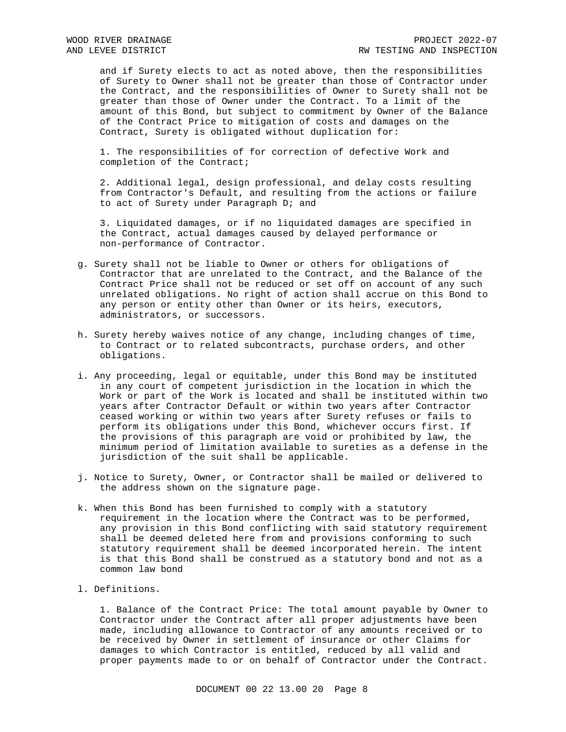and if Surety elects to act as noted above, then the responsibilities of Surety to Owner shall not be greater than those of Contractor under the Contract, and the responsibilities of Owner to Surety shall not be greater than those of Owner under the Contract. To a limit of the amount of this Bond, but subject to commitment by Owner of the Balance of the Contract Price to mitigation of costs and damages on the Contract, Surety is obligated without duplication for:

1. The responsibilities of for correction of defective Work and completion of the Contract;

2. Additional legal, design professional, and delay costs resulting from Contractor's Default, and resulting from the actions or failure to act of Surety under Paragraph D; and

3. Liquidated damages, or if no liquidated damages are specified in the Contract, actual damages caused by delayed performance or non-performance of Contractor.

- g. Surety shall not be liable to Owner or others for obligations of Contractor that are unrelated to the Contract, and the Balance of the Contract Price shall not be reduced or set off on account of any such unrelated obligations. No right of action shall accrue on this Bond to any person or entity other than Owner or its heirs, executors, administrators, or successors.
- h. Surety hereby waives notice of any change, including changes of time, to Contract or to related subcontracts, purchase orders, and other obligations.
- i. Any proceeding, legal or equitable, under this Bond may be instituted in any court of competent jurisdiction in the location in which the Work or part of the Work is located and shall be instituted within two years after Contractor Default or within two years after Contractor ceased working or within two years after Surety refuses or fails to perform its obligations under this Bond, whichever occurs first. If the provisions of this paragraph are void or prohibited by law, the minimum period of limitation available to sureties as a defense in the jurisdiction of the suit shall be applicable.
- j. Notice to Surety, Owner, or Contractor shall be mailed or delivered to the address shown on the signature page.
- k. When this Bond has been furnished to comply with a statutory requirement in the location where the Contract was to be performed, any provision in this Bond conflicting with said statutory requirement shall be deemed deleted here from and provisions conforming to such statutory requirement shall be deemed incorporated herein. The intent is that this Bond shall be construed as a statutory bond and not as a common law bond
- l. Definitions.

1. Balance of the Contract Price: The total amount payable by Owner to Contractor under the Contract after all proper adjustments have been made, including allowance to Contractor of any amounts received or to be received by Owner in settlement of insurance or other Claims for damages to which Contractor is entitled, reduced by all valid and proper payments made to or on behalf of Contractor under the Contract.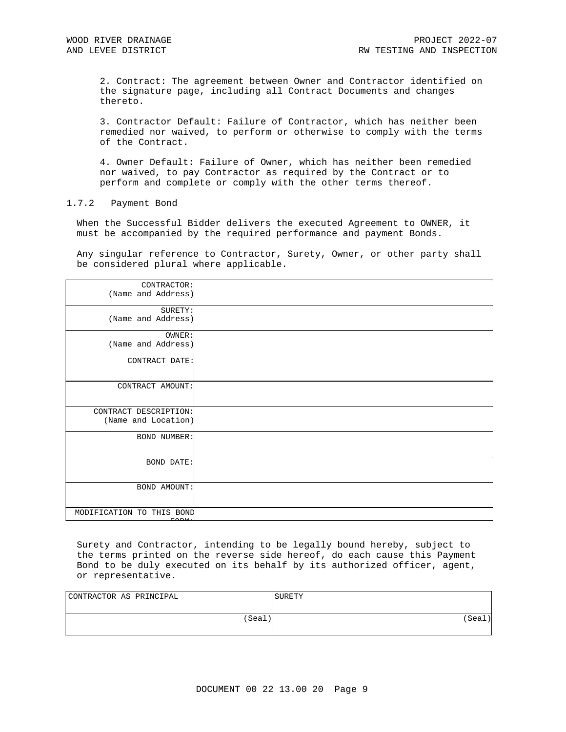2. Contract: The agreement between Owner and Contractor identified on the signature page, including all Contract Documents and changes thereto.

3. Contractor Default: Failure of Contractor, which has neither been remedied nor waived, to perform or otherwise to comply with the terms of the Contract.

4. Owner Default: Failure of Owner, which has neither been remedied nor waived, to pay Contractor as required by the Contract or to perform and complete or comply with the other terms thereof.

### 1.7.2 Payment Bond

When the Successful Bidder delivers the executed Agreement to OWNER, it must be accompanied by the required performance and payment Bonds.

Any singular reference to Contractor, Surety, Owner, or other party shall be considered plural where applicable.

| CONTRACTOR:<br>(Name and Address)            |  |
|----------------------------------------------|--|
| SURETY:<br>(Name and Address)                |  |
| OWNER:<br>(Name and Address)                 |  |
| CONTRACT DATE:                               |  |
| CONTRACT AMOUNT:                             |  |
| CONTRACT DESCRIPTION:<br>(Name and Location) |  |
| <b>BOND NUMBER:</b>                          |  |
| <b>BOND DATE:</b>                            |  |
| <b>BOND AMOUNT:</b>                          |  |
| MODIFICATION TO THIS BOND                    |  |

Surety and Contractor, intending to be legally bound hereby, subject to the terms printed on the reverse side hereof, do each cause this Payment Bond to be duly executed on its behalf by its authorized officer, agent, or representative.

| CONTRACTOR AS PRINCIPAL | SURETY |
|-------------------------|--------|
| (Seal)                  | 'Seal  |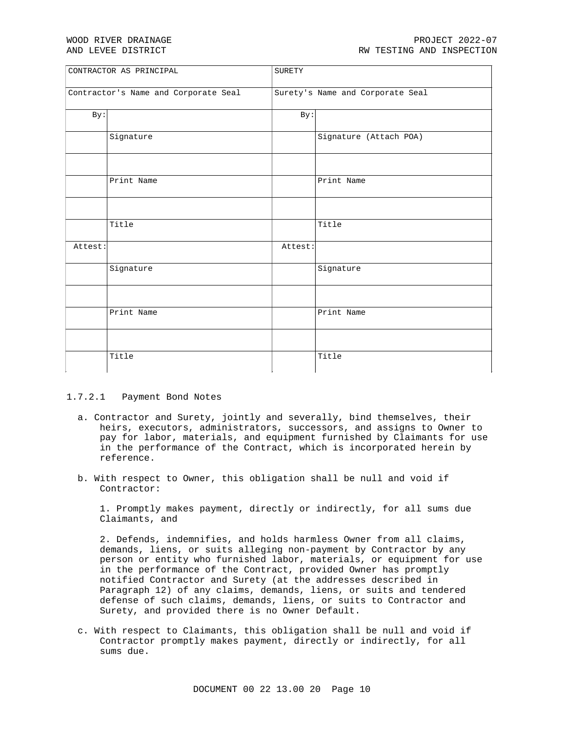| CONTRACTOR AS PRINCIPAL              |            | SURETY  |                                  |
|--------------------------------------|------------|---------|----------------------------------|
| Contractor's Name and Corporate Seal |            |         | Surety's Name and Corporate Seal |
| By:                                  |            | By:     |                                  |
|                                      | Signature  |         | Signature (Attach POA)           |
|                                      |            |         |                                  |
|                                      | Print Name |         | Print Name                       |
|                                      |            |         |                                  |
|                                      | Title      |         | Title                            |
| Attest:                              |            | Attest: |                                  |
|                                      | Signature  |         | Signature                        |
|                                      |            |         |                                  |
|                                      | Print Name |         | Print Name                       |
|                                      |            |         |                                  |
|                                      | Title      |         | Title                            |

## 1.7.2.1 Payment Bond Notes

- a. Contractor and Surety, jointly and severally, bind themselves, their heirs, executors, administrators, successors, and assigns to Owner to pay for labor, materials, and equipment furnished by Claimants for use in the performance of the Contract, which is incorporated herein by reference.
- b. With respect to Owner, this obligation shall be null and void if Contractor:

1. Promptly makes payment, directly or indirectly, for all sums due Claimants, and

2. Defends, indemnifies, and holds harmless Owner from all claims, demands, liens, or suits alleging non-payment by Contractor by any person or entity who furnished labor, materials, or equipment for use in the performance of the Contract, provided Owner has promptly notified Contractor and Surety (at the addresses described in Paragraph 12) of any claims, demands, liens, or suits and tendered defense of such claims, demands, liens, or suits to Contractor and Surety, and provided there is no Owner Default.

c. With respect to Claimants, this obligation shall be null and void if Contractor promptly makes payment, directly or indirectly, for all sums due.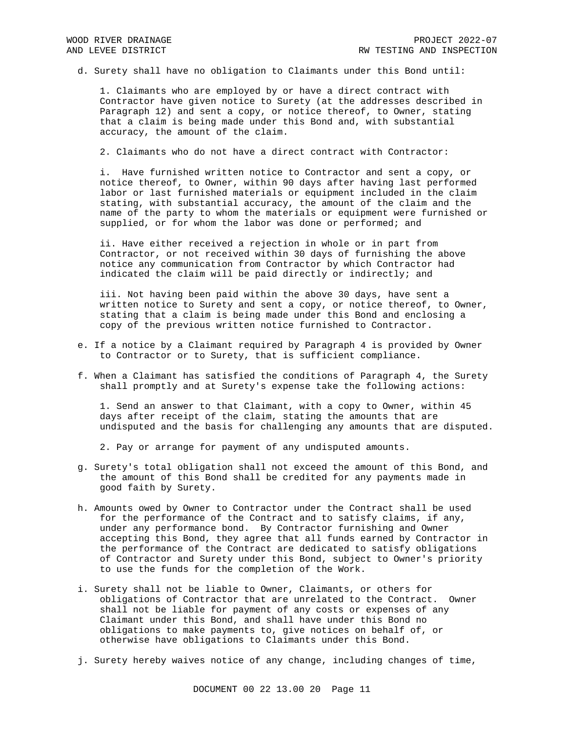d. Surety shall have no obligation to Claimants under this Bond until:

1. Claimants who are employed by or have a direct contract with Contractor have given notice to Surety (at the addresses described in Paragraph 12) and sent a copy, or notice thereof, to Owner, stating that a claim is being made under this Bond and, with substantial accuracy, the amount of the claim.

2. Claimants who do not have a direct contract with Contractor:

i. Have furnished written notice to Contractor and sent a copy, or notice thereof, to Owner, within 90 days after having last performed labor or last furnished materials or equipment included in the claim stating, with substantial accuracy, the amount of the claim and the name of the party to whom the materials or equipment were furnished or supplied, or for whom the labor was done or performed; and

ii. Have either received a rejection in whole or in part from Contractor, or not received within 30 days of furnishing the above notice any communication from Contractor by which Contractor had indicated the claim will be paid directly or indirectly; and

iii. Not having been paid within the above 30 days, have sent a written notice to Surety and sent a copy, or notice thereof, to Owner, stating that a claim is being made under this Bond and enclosing a copy of the previous written notice furnished to Contractor.

- e. If a notice by a Claimant required by Paragraph 4 is provided by Owner to Contractor or to Surety, that is sufficient compliance.
- f. When a Claimant has satisfied the conditions of Paragraph 4, the Surety shall promptly and at Surety's expense take the following actions:

1. Send an answer to that Claimant, with a copy to Owner, within 45 days after receipt of the claim, stating the amounts that are undisputed and the basis for challenging any amounts that are disputed.

2. Pay or arrange for payment of any undisputed amounts.

- g. Surety's total obligation shall not exceed the amount of this Bond, and the amount of this Bond shall be credited for any payments made in good faith by Surety.
- h. Amounts owed by Owner to Contractor under the Contract shall be used for the performance of the Contract and to satisfy claims, if any, under any performance bond. By Contractor furnishing and Owner accepting this Bond, they agree that all funds earned by Contractor in the performance of the Contract are dedicated to satisfy obligations of Contractor and Surety under this Bond, subject to Owner's priority to use the funds for the completion of the Work.
- i. Surety shall not be liable to Owner, Claimants, or others for obligations of Contractor that are unrelated to the Contract. Owner shall not be liable for payment of any costs or expenses of any Claimant under this Bond, and shall have under this Bond no obligations to make payments to, give notices on behalf of, or otherwise have obligations to Claimants under this Bond.
- j. Surety hereby waives notice of any change, including changes of time,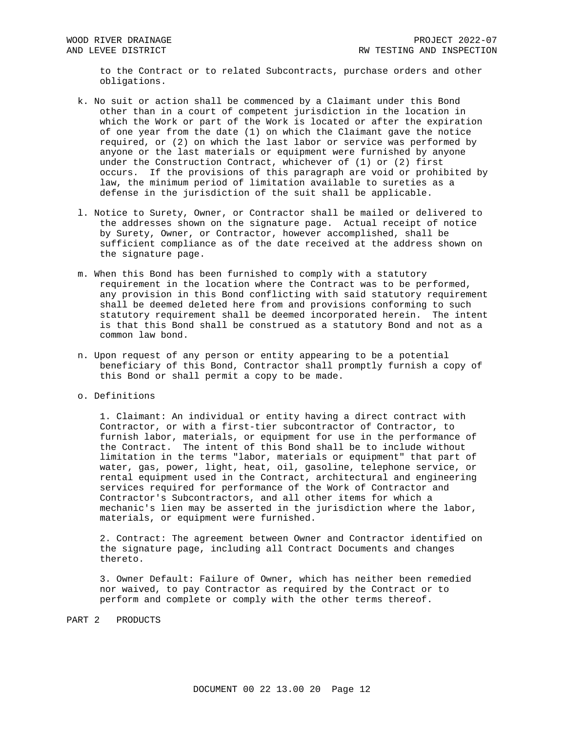to the Contract or to related Subcontracts, purchase orders and other obligations.

- k. No suit or action shall be commenced by a Claimant under this Bond other than in a court of competent jurisdiction in the location in which the Work or part of the Work is located or after the expiration of one year from the date (1) on which the Claimant gave the notice required, or (2) on which the last labor or service was performed by anyone or the last materials or equipment were furnished by anyone under the Construction Contract, whichever of (1) or (2) first occurs. If the provisions of this paragraph are void or prohibited by law, the minimum period of limitation available to sureties as a defense in the jurisdiction of the suit shall be applicable.
- l. Notice to Surety, Owner, or Contractor shall be mailed or delivered to the addresses shown on the signature page. Actual receipt of notice by Surety, Owner, or Contractor, however accomplished, shall be sufficient compliance as of the date received at the address shown on the signature page.
- m. When this Bond has been furnished to comply with a statutory requirement in the location where the Contract was to be performed, any provision in this Bond conflicting with said statutory requirement shall be deemed deleted here from and provisions conforming to such statutory requirement shall be deemed incorporated herein. The intent is that this Bond shall be construed as a statutory Bond and not as a common law bond.
- n. Upon request of any person or entity appearing to be a potential beneficiary of this Bond, Contractor shall promptly furnish a copy of this Bond or shall permit a copy to be made.

# o. Definitions

1. Claimant: An individual or entity having a direct contract with Contractor, or with a first-tier subcontractor of Contractor, to furnish labor, materials, or equipment for use in the performance of the Contract. The intent of this Bond shall be to include without limitation in the terms "labor, materials or equipment" that part of water, gas, power, light, heat, oil, gasoline, telephone service, or rental equipment used in the Contract, architectural and engineering services required for performance of the Work of Contractor and Contractor's Subcontractors, and all other items for which a mechanic's lien may be asserted in the jurisdiction where the labor, materials, or equipment were furnished.

2. Contract: The agreement between Owner and Contractor identified on the signature page, including all Contract Documents and changes thereto.

3. Owner Default: Failure of Owner, which has neither been remedied nor waived, to pay Contractor as required by the Contract or to perform and complete or comply with the other terms thereof.

# PART 2 PRODUCTS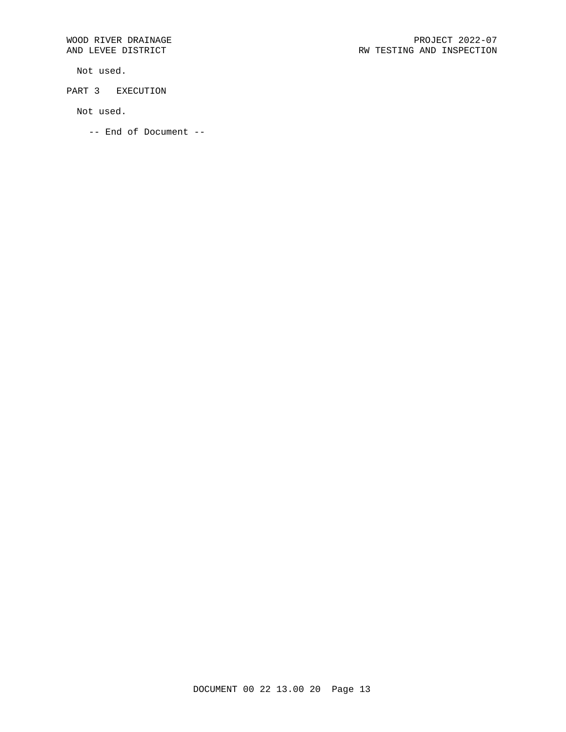Not used.

PART 3 EXECUTION

Not used.

-- End of Document --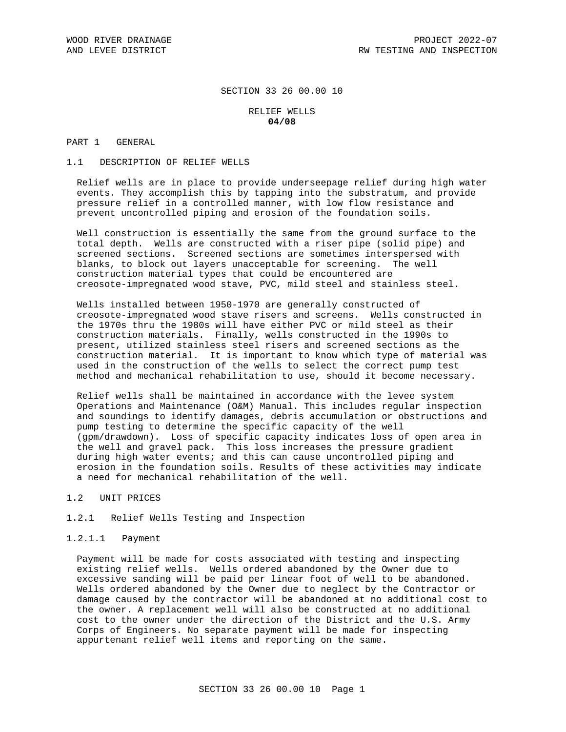# SECTION 33 26 00.00 10

## RELIEF WELLS **04/08**

# PART 1 GENERAL

1.1 DESCRIPTION OF RELIEF WELLS

Relief wells are in place to provide underseepage relief during high water events. They accomplish this by tapping into the substratum, and provide pressure relief in a controlled manner, with low flow resistance and prevent uncontrolled piping and erosion of the foundation soils.

Well construction is essentially the same from the ground surface to the total depth. Wells are constructed with a riser pipe (solid pipe) and screened sections. Screened sections are sometimes interspersed with blanks, to block out layers unacceptable for screening. The well construction material types that could be encountered are creosote-impregnated wood stave, PVC, mild steel and stainless steel.

Wells installed between 1950-1970 are generally constructed of creosote-impregnated wood stave risers and screens. Wells constructed in the 1970s thru the 1980s will have either PVC or mild steel as their construction materials. Finally, wells constructed in the 1990s to present, utilized stainless steel risers and screened sections as the construction material. It is important to know which type of material was used in the construction of the wells to select the correct pump test method and mechanical rehabilitation to use, should it become necessary.

Relief wells shall be maintained in accordance with the levee system Operations and Maintenance (O&M) Manual. This includes regular inspection and soundings to identify damages, debris accumulation or obstructions and pump testing to determine the specific capacity of the well (gpm/drawdown). Loss of specific capacity indicates loss of open area in the well and gravel pack. This loss increases the pressure gradient during high water events; and this can cause uncontrolled piping and erosion in the foundation soils. Results of these activities may indicate a need for mechanical rehabilitation of the well.

1.2 UNIT PRICES

### 1.2.1 Relief Wells Testing and Inspection

1.2.1.1 Payment

Payment will be made for costs associated with testing and inspecting existing relief wells. Wells ordered abandoned by the Owner due to excessive sanding will be paid per linear foot of well to be abandoned. Wells ordered abandoned by the Owner due to neglect by the Contractor or damage caused by the contractor will be abandoned at no additional cost to the owner. A replacement well will also be constructed at no additional cost to the owner under the direction of the District and the U.S. Army Corps of Engineers. No separate payment will be made for inspecting appurtenant relief well items and reporting on the same.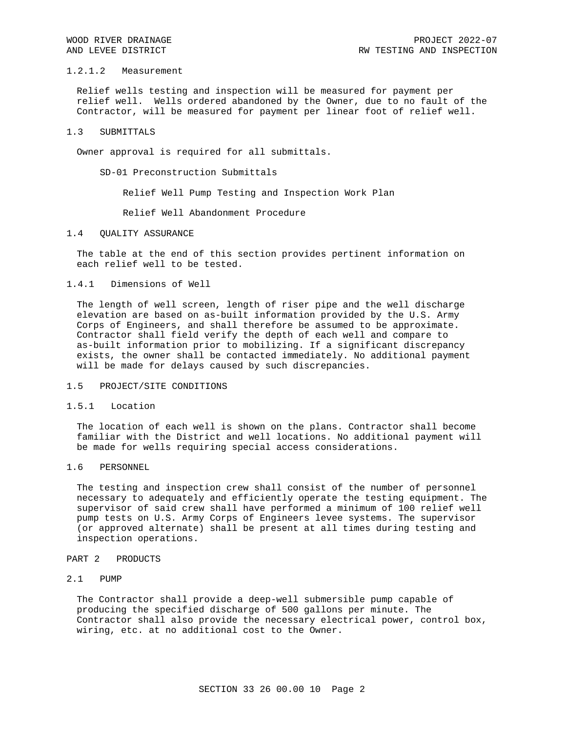## 1.2.1.2 Measurement

Relief wells testing and inspection will be measured for payment per relief well. Wells ordered abandoned by the Owner, due to no fault of the Contractor, will be measured for payment per linear foot of relief well.

#### 1.3 SUBMITTALS

Owner approval is required for all submittals.

SD-01 Preconstruction Submittals

Relief Well Pump Testing and Inspection Work Plan

Relief Well Abandonment Procedure

### 1.4 QUALITY ASSURANCE

The table at the end of this section provides pertinent information on each relief well to be tested.

# 1.4.1 Dimensions of Well

The length of well screen, length of riser pipe and the well discharge elevation are based on as-built information provided by the U.S. Army Corps of Engineers, and shall therefore be assumed to be approximate. Contractor shall field verify the depth of each well and compare to as-built information prior to mobilizing. If a significant discrepancy exists, the owner shall be contacted immediately. No additional payment will be made for delays caused by such discrepancies.

## 1.5 PROJECT/SITE CONDITIONS

### 1.5.1 Location

The location of each well is shown on the plans. Contractor shall become familiar with the District and well locations. No additional payment will be made for wells requiring special access considerations.

### 1.6 PERSONNEL

The testing and inspection crew shall consist of the number of personnel necessary to adequately and efficiently operate the testing equipment. The supervisor of said crew shall have performed a minimum of 100 relief well pump tests on U.S. Army Corps of Engineers levee systems. The supervisor (or approved alternate) shall be present at all times during testing and inspection operations.

#### PART 2 PRODUCTS

# 2.1 PUMP

The Contractor shall provide a deep-well submersible pump capable of producing the specified discharge of 500 gallons per minute. The Contractor shall also provide the necessary electrical power, control box, wiring, etc. at no additional cost to the Owner.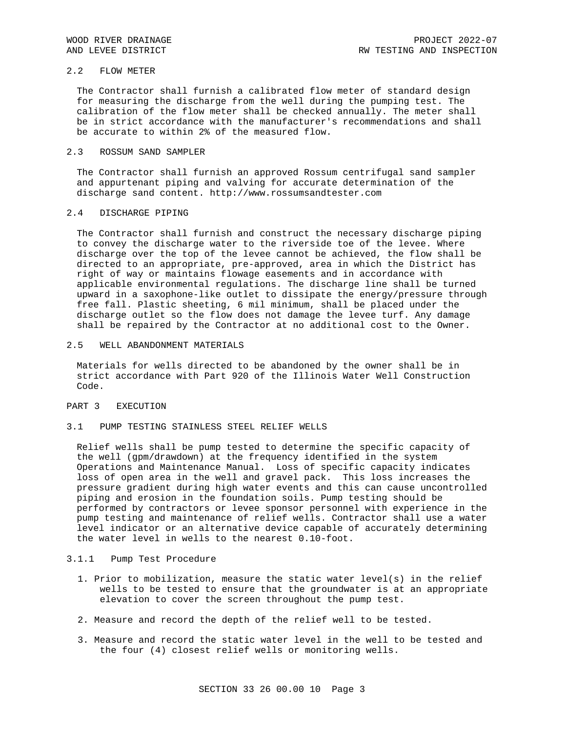### 2.2 FLOW METER

The Contractor shall furnish a calibrated flow meter of standard design for measuring the discharge from the well during the pumping test. The calibration of the flow meter shall be checked annually. The meter shall be in strict accordance with the manufacturer's recommendations and shall be accurate to within 2% of the measured flow.

### 2.3 ROSSUM SAND SAMPLER

The Contractor shall furnish an approved Rossum centrifugal sand sampler and appurtenant piping and valving for accurate determination of the discharge sand content. http://www.rossumsandtester.com

# 2.4 DISCHARGE PIPING

The Contractor shall furnish and construct the necessary discharge piping to convey the discharge water to the riverside toe of the levee. Where discharge over the top of the levee cannot be achieved, the flow shall be directed to an appropriate, pre-approved, area in which the District has right of way or maintains flowage easements and in accordance with applicable environmental regulations. The discharge line shall be turned upward in a saxophone-like outlet to dissipate the energy/pressure through free fall. Plastic sheeting, 6 mil minimum, shall be placed under the discharge outlet so the flow does not damage the levee turf. Any damage shall be repaired by the Contractor at no additional cost to the Owner.

## 2.5 WELL ABANDONMENT MATERIALS

Materials for wells directed to be abandoned by the owner shall be in strict accordance with Part 920 of the Illinois Water Well Construction Code.

# PART 3 EXECUTION

### 3.1 PUMP TESTING STAINLESS STEEL RELIEF WELLS

Relief wells shall be pump tested to determine the specific capacity of the well (gpm/drawdown) at the frequency identified in the system Operations and Maintenance Manual. Loss of specific capacity indicates loss of open area in the well and gravel pack. This loss increases the pressure gradient during high water events and this can cause uncontrolled piping and erosion in the foundation soils. Pump testing should be performed by contractors or levee sponsor personnel with experience in the pump testing and maintenance of relief wells. Contractor shall use a water level indicator or an alternative device capable of accurately determining the water level in wells to the nearest 0.10-foot.

## 3.1.1 Pump Test Procedure

- 1. Prior to mobilization, measure the static water level(s) in the relief wells to be tested to ensure that the groundwater is at an appropriate elevation to cover the screen throughout the pump test.
- 2. Measure and record the depth of the relief well to be tested.
- 3. Measure and record the static water level in the well to be tested and the four (4) closest relief wells or monitoring wells.